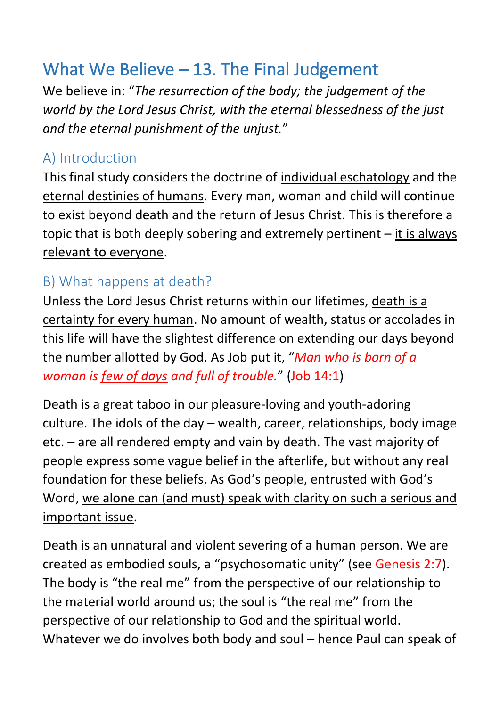# What We Believe – 13. The Final Judgement

We believe in: "*The resurrection of the body; the judgement of the world by the Lord Jesus Christ, with the eternal blessedness of the just and the eternal punishment of the unjust.*"

### A) Introduction

This final study considers the doctrine of individual eschatology and the eternal destinies of humans. Every man, woman and child will continue to exist beyond death and the return of Jesus Christ. This is therefore a topic that is both deeply sobering and extremely pertinent – it is always relevant to everyone.

### B) What happens at death?

Unless the Lord Jesus Christ returns within our lifetimes, death is a certainty for every human. No amount of wealth, status or accolades in this life will have the slightest difference on extending our days beyond the number allotted by God. As Job put it, "*Man who is born of a woman is few of days and full of trouble.*" (Job 14:1)

Death is a great taboo in our pleasure-loving and youth-adoring culture. The idols of the day – wealth, career, relationships, body image etc. – are all rendered empty and vain by death. The vast majority of people express some vague belief in the afterlife, but without any real foundation for these beliefs. As God's people, entrusted with God's Word, we alone can (and must) speak with clarity on such a serious and important issue.

Death is an unnatural and violent severing of a human person. We are created as embodied souls, a "psychosomatic unity" (see Genesis 2:7). The body is "the real me" from the perspective of our relationship to the material world around us; the soul is "the real me" from the perspective of our relationship to God and the spiritual world. Whatever we do involves both body and soul – hence Paul can speak of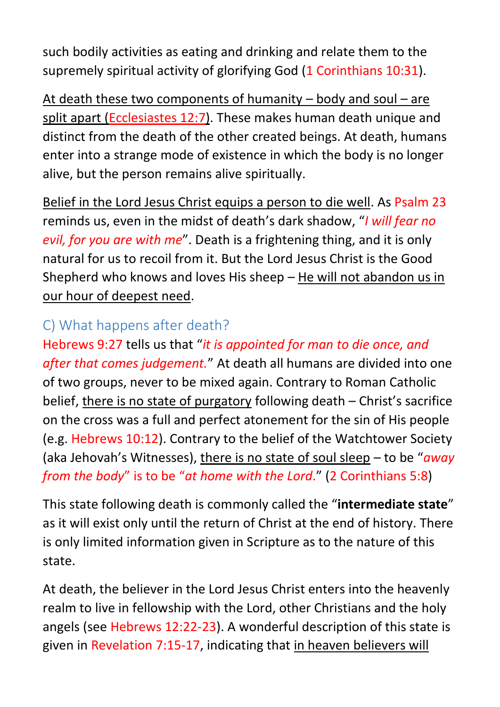such bodily activities as eating and drinking and relate them to the supremely spiritual activity of glorifying God (1 Corinthians 10:31).

At death these two components of humanity – body and soul – are split apart (Ecclesiastes 12:7). These makes human death unique and distinct from the death of the other created beings. At death, humans enter into a strange mode of existence in which the body is no longer alive, but the person remains alive spiritually.

Belief in the Lord Jesus Christ equips a person to die well. As Psalm 23 reminds us, even in the midst of death's dark shadow, "*I will fear no evil, for you are with me*". Death is a frightening thing, and it is only natural for us to recoil from it. But the Lord Jesus Christ is the Good Shepherd who knows and loves His sheep – He will not abandon us in our hour of deepest need.

### C) What happens after death?

Hebrews 9:27 tells us that "*it is appointed for man to die once, and after that comes judgement.*" At death all humans are divided into one of two groups, never to be mixed again. Contrary to Roman Catholic belief, there is no state of purgatory following death – Christ's sacrifice on the cross was a full and perfect atonement for the sin of His people (e.g. Hebrews 10:12). Contrary to the belief of the Watchtower Society (aka Jehovah's Witnesses), there is no state of soul sleep – to be "*away from the body*" is to be "*at home with the Lord*." (2 Corinthians 5:8)

This state following death is commonly called the "**intermediate state**" as it will exist only until the return of Christ at the end of history. There is only limited information given in Scripture as to the nature of this state.

At death, the believer in the Lord Jesus Christ enters into the heavenly realm to live in fellowship with the Lord, other Christians and the holy angels (see Hebrews 12:22-23). A wonderful description of this state is given in Revelation 7:15-17, indicating that in heaven believers will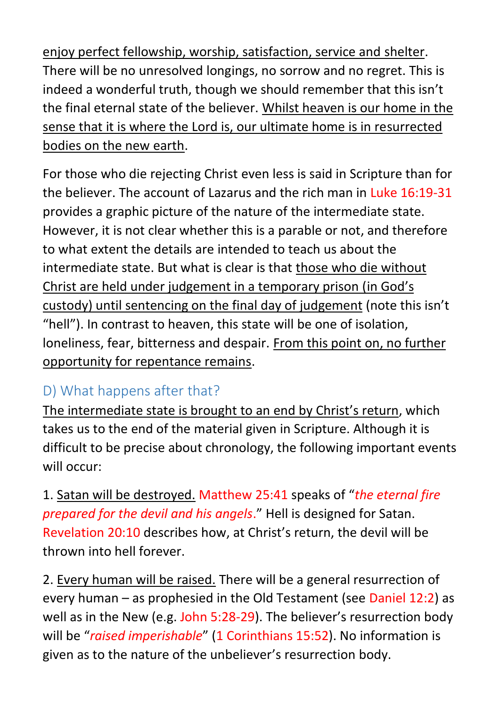enjoy perfect fellowship, worship, satisfaction, service and shelter. There will be no unresolved longings, no sorrow and no regret. This is indeed a wonderful truth, though we should remember that this isn't the final eternal state of the believer. Whilst heaven is our home in the sense that it is where the Lord is, our ultimate home is in resurrected bodies on the new earth.

For those who die rejecting Christ even less is said in Scripture than for the believer. The account of Lazarus and the rich man in Luke 16:19-31 provides a graphic picture of the nature of the intermediate state. However, it is not clear whether this is a parable or not, and therefore to what extent the details are intended to teach us about the intermediate state. But what is clear is that those who die without Christ are held under judgement in a temporary prison (in God's custody) until sentencing on the final day of judgement (note this isn't "hell"). In contrast to heaven, this state will be one of isolation, loneliness, fear, bitterness and despair. From this point on, no further opportunity for repentance remains.

## D) What happens after that?

The intermediate state is brought to an end by Christ's return, which takes us to the end of the material given in Scripture. Although it is difficult to be precise about chronology, the following important events will occur:

1. Satan will be destroyed. Matthew 25:41 speaks of "*the eternal fire prepared for the devil and his angels*." Hell is designed for Satan. Revelation 20:10 describes how, at Christ's return, the devil will be thrown into hell forever.

2. Every human will be raised. There will be a general resurrection of every human – as prophesied in the Old Testament (see Daniel 12:2) as well as in the New (e.g. John 5:28-29). The believer's resurrection body will be "*raised imperishable*" (1 Corinthians 15:52). No information is given as to the nature of the unbeliever's resurrection body.